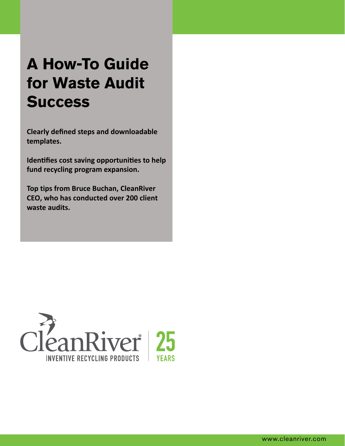# **A How-To Guide for Waste Audit Success**

**Clearly defined steps and downloadable templates.**

**Identifies cost saving opportunities to help fund recycling program expansion.**

**Top tips from Bruce Buchan, CleanRiver CEO, who has conducted over 200 client waste audits.**

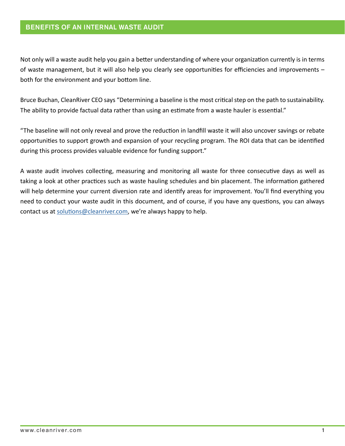#### BENEFITS OF AN INTERNAL WASTE AUDIT

Not only will a waste audit help you gain a better understanding of where your organization currently is in terms of waste management, but it will also help you clearly see opportunities for efficiencies and improvements – both for the environment and your bottom line.

Bruce Buchan, CleanRiver CEO says "Determining a baseline is the most critical step on the path to sustainability. The ability to provide factual data rather than using an estimate from a waste hauler is essential."

"The baseline will not only reveal and prove the reduction in landfill waste it will also uncover savings or rebate opportunities to support growth and expansion of your recycling program. The ROI data that can be identified during this process provides valuable evidence for funding support."

A waste audit involves collecting, measuring and monitoring all waste for three consecutive days as well as taking a look at other practices such as waste hauling schedules and bin placement. The information gathered will help determine your current diversion rate and identify areas for improvement. You'll find everything you need to conduct your waste audit in this document, and of course, if you have any questions, you can always contact us at [solutions@cleanriver.com,](mailto:solutions%40cleanriver.com?subject=Interested%20in%20learning%20more%20about%20waste%20audit) we're always happy to help.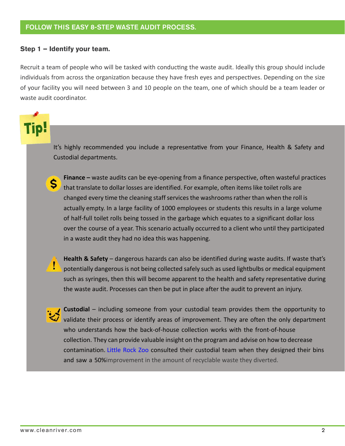#### **Step 1 – Identify your team.**

Recruit a team of people who will be tasked with conducting the waste audit. Ideally this group should include individuals from across the organization because they have fresh eyes and perspectives. Depending on the size of your facility you will need between 3 and 10 people on the team, one of which should be a team leader or waste audit coordinator.

It's highly recommended you include a representative from your Finance, Health & Safety and Custodial departments.



**•• Finance** – waste audits can be eye-opening from a finance perspective, often wasteful practices that translate to dollar losses are identified. For example, often items like toilet rolls are changed every time the cleaning staff services the washrooms rather than when the roll is actually empty. In a large facility of 1000 employees or students this results in a large volume of half-full toilet rolls being tossed in the garbage which equates to a significant dollar loss over the course of a year. This scenario actually occurred to a client who until they participated in a waste audit they had no idea this was happening.



**• Health & Safety** – dangerous hazards can also be identified during waste audits. If waste that's potentially dangerous is not being collected safely such as used lightbulbs or medical equipment such as syringes, then this will become apparent to the health and safety representative during the waste audit. Processes can then be put in place after the audit to prevent an injury.



**• Custodial** – including someone from your custodial team provides them the opportunity to validate their process or identify areas of improvement. They are often the only department who understands how the back-of-house collection works with the front-of-house collection. They can provide valuable insight on the program and advise on how to decrease contamination. [Little Rock Zoo](https://cleanriver.com/case-study/happier-visitors-at-little-rock-zoo/) consulted their custodial team when they designed their bins and saw a 50%improvement in the amount of recyclable waste they diverted.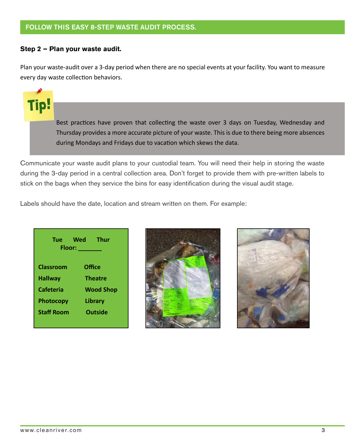#### FOLLOW THIS EASY 8-STEP WASTE AUDIT PROCESS.

#### **Step 2 – Plan your waste audit.**

Tip:

Plan your waste-audit over a 3-day period when there are no special events at your facility. You want to measure every day waste collection behaviors.

> Best practices have proven that collecting the waste over 3 days on Tuesday, Wednesday and Thursday provides a more accurate picture of your waste. This is due to there being more absences during Mondays and Fridays due to vacation which skews the data.

Communicate your waste audit plans to your custodial team. You will need their help in storing the waste during the 3-day period in a central collection area. Don't forget to provide them with pre-written labels to stick on the bags when they service the bins for easy identification during the visual audit stage.

Labels should have the date, location and stream written on them. For example:

**Tue Wed Thur Floor: \_\_\_\_\_\_\_ Classroom Office Hallway Theatre Cafeteria Wood Shop Photocopy Library Staff Room Outside**



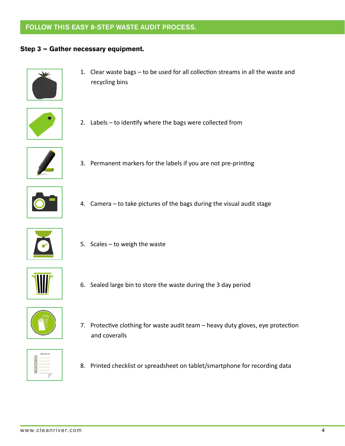### FOLLOW THIS EASY 8-STEP WASTE AUDIT PROCESS.

#### **Step 3 – Gather necessary equipment.**



1. Clear waste bags – to be used for all collection streams in all the waste and recycling bins



2. Labels – to identify where the bags were collected from



3. Permanent markers for the labels if you are not pre-printing



4. Camera – to take pictures of the bags during the visual audit stage



5. Scales – to weigh the waste



6. Sealed large bin to store the waste during the 3 day period



7. Protective clothing for waste audit team – heavy duty gloves, eye protection and coveralls



8. Printed checklist or spreadsheet on tablet/smartphone for recording data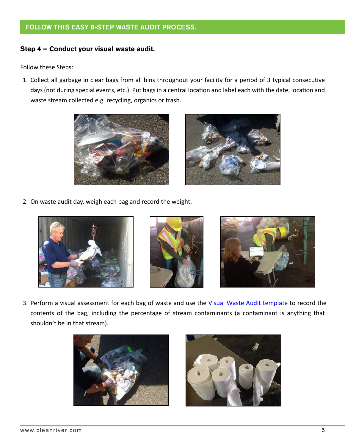#### FOLLOW THIS EASY 8-STEP WASTE AUDIT PROCESS.

#### **Step 4 – Conduct your visual waste audit.**

Follow these Steps:

1. Collect all garbage in clear bags from all bins throughout your facility for a period of 3 typical consecutive days (not during special events, etc.). Put bags in a central location and label each with the date, location and waste stream collected e.g. recycling, organics or trash.





2. On waste audit day, weigh each bag and record the weight.







3. Perform a visual assessment for each bag of waste and use the [Visual Waste Audit template](#page-10-0) to record the contents of the bag, including the percentage of stream contaminants (a contaminant is anything that shouldn't be in that stream).



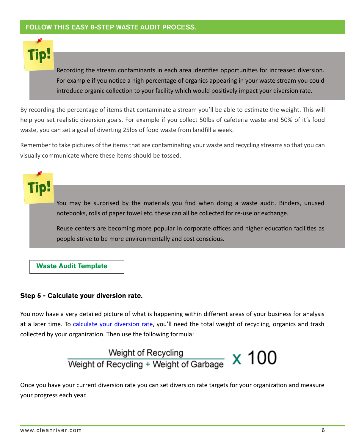Recording the stream contaminants in each area identifies opportunities for increased diversion. For example if you notice a high percentage of organics appearing in your waste stream you could introduce organic collection to your facility which would positively impact your diversion rate.

By recording the percentage of items that contaminate a stream you'll be able to estimate the weight. This will help you set realistic diversion goals. For example if you collect 50lbs of cafeteria waste and 50% of it's food waste, you can set a goal of diverting 25lbs of food waste from landfill a week.

Remember to take pictures of the items that are contaminating your waste and recycling streams so that you can visually communicate where these items should be tossed.

You may be surprised by the materials you find when doing a waste audit. Binders, unused notebooks, rolls of paper towel etc. these can all be collected for re-use or exchange.

Reuse centers are becoming more popular in corporate offices and higher education facilities as people strive to be more environmentally and cost conscious.

#### **[Waste Audit Template](#page-10-0)**

#### **Step 5 - Calculate your diversion rate.**

You now have a very detailed picture of what is happening within different areas of your business for analysis at a later time. To [calculate your diversion rate,](https://cleanriver.com/new-recycling-bin-from-cleanriver-meets-changing-waste-requirements/) you'll need the total weight of recycling, organics and trash collected by your organization. Then use the following formula:

## Weight of Recycling<br>Weight of Recycling + Weight of Garbage x 100

Once you have your current diversion rate you can set diversion rate targets for your organization and measure your progress each year.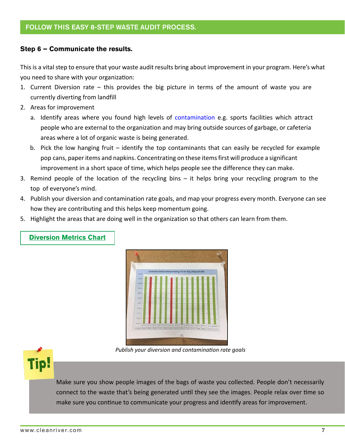#### **Step 6 – Communicate the results.**

This is a vital step to ensure that your waste audit results bring about improvement in your program. Here's what you need to share with your organization:

- 1. Current Diversion rate this provides the big picture in terms of the amount of waste you are currently diverting from landfill
- 2. Areas for improvement
	- a. Identify areas where you found high levels of [contamination](https://cleanriver.com/what-is-recycling-stream-contamination/) e.g. sports facilities which attract people who are external to the organization and may bring outside sources of garbage, or cafeteria areas where a lot of organic waste is being generated.
	- b. Pick the low hanging fruit identify the top contaminants that can easily be recycled for example pop cans, paper items and napkins. Concentrating on these items first will produce a significant improvement in a short space of time, which helps people see the difference they can make.
- 3. Remind people of the location of the recycling bins it helps bring your recycling program to the top of everyone's mind.
- 4. Publish your diversion and contamination rate goals, and map your progress every month. Everyone can see how they are contributing and this helps keep momentum going.
- 5. Highlight the areas that are doing well in the organization so that others can learn from them.



#### **[Diversion Metrics Chart](#page-11-0)**

*Publish your diversion and contamination rate goals*



Make sure you show people images of the bags of waste you collected. People don't necessarily connect to the waste that's being generated until they see the images. People relax over time so make sure you continue to communicate your progress and identify areas for improvement.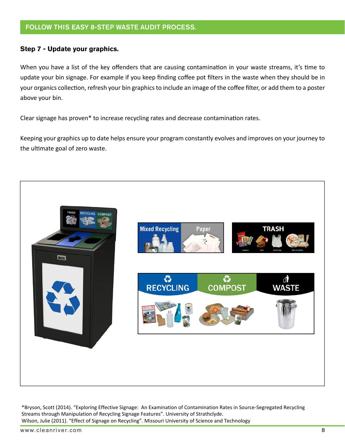#### **Step 7 - Update your graphics.**

When you have a list of the key offenders that are causing contamination in your waste streams, it's time to update your bin signage. For example if you keep finding coffee pot filters in the waste when they should be in your organics collection, refresh your bin graphics to include an image of the coffee filter, or add them to a poster above your bin.

Clear signage has proven\* to increase recycling rates and decrease contamination rates.

Keeping your graphics up to date helps ensure your program constantly evolves and improves on your journey to the ultimate goal of zero waste.



\*Bryson, Scott (2014). "Exploring Effective Signage: An Examination of Contamination Rates in Source-Segregated Recycling Streams through Manipulation of Recycling Signage Features". University of Strathclyde. Wilson, Julie (2011). "Effect of Signage on Recycling". Missouri University of Science and Technology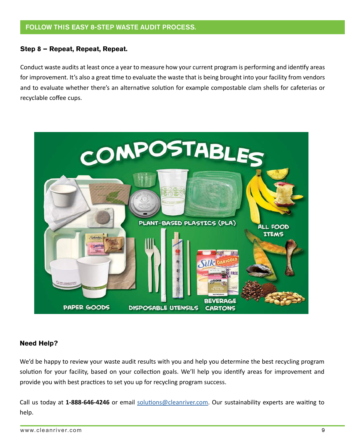#### **Step 8 – Repeat, Repeat, Repeat.**

Conduct waste audits at least once a year to measure how your current program is performing and identify areas for improvement. It's also a great time to evaluate the waste that is being brought into your facility from vendors and to evaluate whether there's an alternative solution for example compostable clam shells for cafeterias or recyclable coffee cups.



#### **Need Help?**

We'd be happy to review your waste audit results with you and help you determine the best recycling program solution for your facility, based on your collection goals. We'll help you identify areas for improvement and provide you with best practices to set you up for recycling program success.

Call us today at **1-888-646-4246** or email [solutions@cleanriver.com](mailto:solutions%40cleanriver.com?subject=Information%20required%20regarding%20waste%20audit). Our sustainability experts are waiting to help.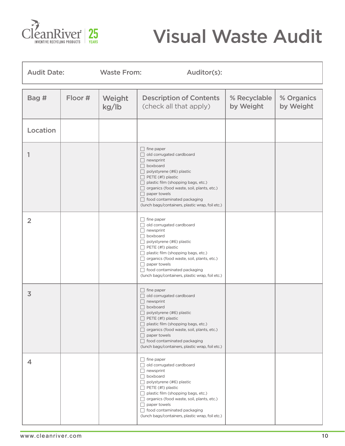<span id="page-10-0"></span>

# Visual Waste Audit

| <b>Audit Date:</b> |         | <b>Waste From:</b> | Auditor(s):                                                                                                                                                                                                                                                                                                                                                      |                           |                         |  |  |
|--------------------|---------|--------------------|------------------------------------------------------------------------------------------------------------------------------------------------------------------------------------------------------------------------------------------------------------------------------------------------------------------------------------------------------------------|---------------------------|-------------------------|--|--|
| Bag #              | Floor # | Weight<br>kg/lb    | <b>Description of Contents</b><br>(check all that apply)                                                                                                                                                                                                                                                                                                         | % Recyclable<br>by Weight | % Organics<br>by Weight |  |  |
| Location           |         |                    |                                                                                                                                                                                                                                                                                                                                                                  |                           |                         |  |  |
| 1                  |         |                    | $\Box$ fine paper<br>old corrugated cardboard<br>$\Box$ newsprint<br>$\Box$ boxboard<br>$\Box$ polystyrene (#6) plastic<br>$\Box$ PETE (#1) plastic<br>$\Box$ plastic film (shopping bags, etc.)<br>□ organics (food waste, soil, plants, etc.)<br>$\Box$ paper towels<br>□ food contaminated packaging<br>(lunch bags/containers, plastic wrap, foil etc.)      |                           |                         |  |  |
| $\overline{2}$     |         |                    | $\Box$ fine paper<br>old corrugated cardboard<br>$\Box$ newsprint<br>$\Box$ boxboard<br>$\Box$ polystyrene (#6) plastic<br>$\Box$ PETE (#1) plastic<br>$\Box$ plastic film (shopping bags, etc.)<br>organics (food waste, soil, plants, etc.)<br>$\Box$ paper towels<br>□ food contaminated packaging<br>(lunch bags/containers, plastic wrap, foil etc.)        |                           |                         |  |  |
| $\overline{3}$     |         |                    | $\Box$ fine paper<br>old corrugated cardboard<br>$\Box$ newsprint<br>$\Box$ boxboard<br>$\Box$ polystyrene (#6) plastic<br>$\Box$ PETE (#1) plastic<br>$\Box$ plastic film (shopping bags, etc.)<br>organics (food waste, soil, plants, etc.)<br>$\Box$ paper towels<br>$\Box$ food contaminated packaging<br>(lunch bags/containers, plastic wrap, foil etc.)   |                           |                         |  |  |
| 4                  |         |                    | $\Box$ fine paper<br>old corrugated cardboard<br>$\Box$ newsprint<br>$\Box$ boxboard<br>$\Box$ polystyrene (#6) plastic<br>$\Box$ PETE (#1) plastic<br>$\Box$ plastic film (shopping bags, etc.)<br>□ organics (food waste, soil, plants, etc.)<br>$\Box$ paper towels<br>$\Box$ food contaminated packaging<br>(lunch bags/containers, plastic wrap, foil etc.) |                           |                         |  |  |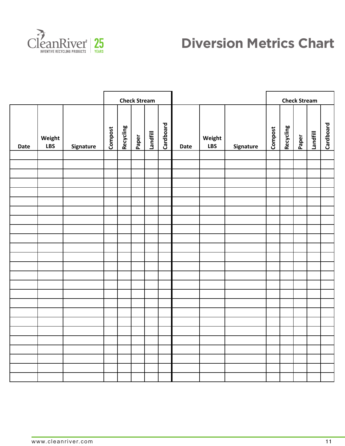<span id="page-11-0"></span>

## **Diversion Metrics Chart**

|      |                      |           | <b>Check Stream</b> |           |       |          |           |             | <b>Check Stream</b>  |           |         |           |       |          |           |
|------|----------------------|-----------|---------------------|-----------|-------|----------|-----------|-------------|----------------------|-----------|---------|-----------|-------|----------|-----------|
| Date | Weight<br><b>LBS</b> | Signature | Compost             | Recycling | Paper | Landfill | Cardboard | <b>Date</b> | Weight<br><b>LBS</b> | Signature | Compost | Recycling | Paper | Landfill | Cardboard |
|      |                      |           |                     |           |       |          |           |             |                      |           |         |           |       |          |           |
|      |                      |           |                     |           |       |          |           |             |                      |           |         |           |       |          |           |
|      |                      |           |                     |           |       |          |           |             |                      |           |         |           |       |          |           |
|      |                      |           |                     |           |       |          |           |             |                      |           |         |           |       |          |           |
|      |                      |           |                     |           |       |          |           |             |                      |           |         |           |       |          |           |
|      |                      |           |                     |           |       |          |           |             |                      |           |         |           |       |          |           |
|      |                      |           |                     |           |       |          |           |             |                      |           |         |           |       |          |           |
|      |                      |           |                     |           |       |          |           |             |                      |           |         |           |       |          |           |
|      |                      |           |                     |           |       |          |           |             |                      |           |         |           |       |          |           |
|      |                      |           |                     |           |       |          |           |             |                      |           |         |           |       |          |           |
|      |                      |           |                     |           |       |          |           |             |                      |           |         |           |       |          |           |
|      |                      |           |                     |           |       |          |           |             |                      |           |         |           |       |          |           |
|      |                      |           |                     |           |       |          |           |             |                      |           |         |           |       |          |           |
|      |                      |           |                     |           |       |          |           |             |                      |           |         |           |       |          |           |
|      |                      |           |                     |           |       |          |           |             |                      |           |         |           |       |          |           |
|      |                      |           |                     |           |       |          |           |             |                      |           |         |           |       |          |           |
|      |                      |           |                     |           |       |          |           |             |                      |           |         |           |       |          |           |
|      |                      |           |                     |           |       |          |           |             |                      |           |         |           |       |          |           |
|      |                      |           |                     |           |       |          |           |             |                      |           |         |           |       |          |           |
|      |                      |           |                     |           |       |          |           |             |                      |           |         |           |       |          |           |
|      |                      |           |                     |           |       |          |           |             |                      |           |         |           |       |          |           |
|      |                      |           |                     |           |       |          |           |             |                      |           |         |           |       |          |           |
|      |                      |           |                     |           |       |          |           |             |                      |           |         |           |       |          |           |